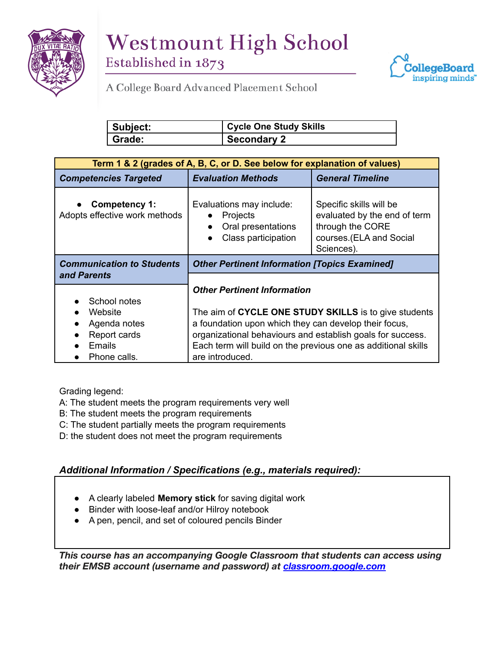



**STANDARDS & PROCEDURES**

| Subject: | <sup>'</sup> Cycle One Study Skills |
|----------|-------------------------------------|
| Grade:   | <b>Secondary 2</b>                  |

| Term 1 & 2 (grades of A, B, C, or D. See below for explanation of values) |                                                                                          |                                                                                                                      |  |
|---------------------------------------------------------------------------|------------------------------------------------------------------------------------------|----------------------------------------------------------------------------------------------------------------------|--|
| <b>Competencies Targeted</b>                                              | <b>Evaluation Methods</b>                                                                | <b>General Timeline</b>                                                                                              |  |
| Competency 1:<br>Adopts effective work methods                            | Evaluations may include:<br><b>Projects</b><br>Oral presentations<br>Class participation | Specific skills will be<br>evaluated by the end of term<br>through the CORE<br>courses.(ELA and Social<br>Sciences). |  |
| <b>Communication to Students</b>                                          | <b>Other Pertinent Information [Topics Examined]</b>                                     |                                                                                                                      |  |
| and Parents                                                               |                                                                                          |                                                                                                                      |  |
|                                                                           | <b>Other Pertinent Information</b>                                                       |                                                                                                                      |  |
| School notes                                                              |                                                                                          |                                                                                                                      |  |
| Website                                                                   | The aim of CYCLE ONE STUDY SKILLS is to give students                                    |                                                                                                                      |  |
| Agenda notes                                                              | a foundation upon which they can develop their focus,                                    |                                                                                                                      |  |
| Report cards                                                              | organizational behaviours and establish goals for success.                               |                                                                                                                      |  |
| <b>Emails</b>                                                             | Each term will build on the previous one as additional skills                            |                                                                                                                      |  |
| Phone calls.                                                              | are introduced.                                                                          |                                                                                                                      |  |

Grading legend:

A: The student meets the program requirements very well

- B: The student meets the program requirements
- C: The student partially meets the program requirements
- D: the student does not meet the program requirements

## *Additional Information / Specifications (e.g., materials required):*

- A clearly labeled **Memory stick** for saving digital work
- Binder with loose-leaf and/or Hilroy notebook
- A pen, pencil, and set of coloured pencils Binder

*This course has an accompanying Google Classroom that students can access using their EMSB account (username and password) at [classroom.google.com](http://classroom.google.com/)*